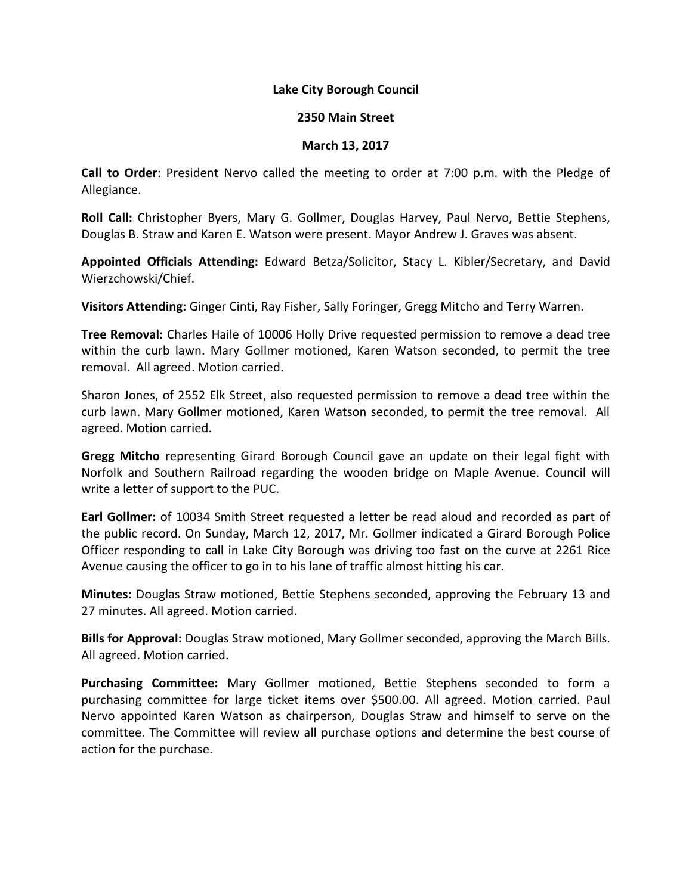## **Lake City Borough Council**

## **2350 Main Street**

## **March 13, 2017**

**Call to Order**: President Nervo called the meeting to order at 7:00 p.m. with the Pledge of Allegiance.

**Roll Call:** Christopher Byers, Mary G. Gollmer, Douglas Harvey, Paul Nervo, Bettie Stephens, Douglas B. Straw and Karen E. Watson were present. Mayor Andrew J. Graves was absent.

**Appointed Officials Attending:** Edward Betza/Solicitor, Stacy L. Kibler/Secretary, and David Wierzchowski/Chief.

**Visitors Attending:** Ginger Cinti, Ray Fisher, Sally Foringer, Gregg Mitcho and Terry Warren.

**Tree Removal:** Charles Haile of 10006 Holly Drive requested permission to remove a dead tree within the curb lawn. Mary Gollmer motioned, Karen Watson seconded, to permit the tree removal. All agreed. Motion carried.

Sharon Jones, of 2552 Elk Street, also requested permission to remove a dead tree within the curb lawn. Mary Gollmer motioned, Karen Watson seconded, to permit the tree removal. All agreed. Motion carried.

**Gregg Mitcho** representing Girard Borough Council gave an update on their legal fight with Norfolk and Southern Railroad regarding the wooden bridge on Maple Avenue. Council will write a letter of support to the PUC.

**Earl Gollmer:** of 10034 Smith Street requested a letter be read aloud and recorded as part of the public record. On Sunday, March 12, 2017, Mr. Gollmer indicated a Girard Borough Police Officer responding to call in Lake City Borough was driving too fast on the curve at 2261 Rice Avenue causing the officer to go in to his lane of traffic almost hitting his car.

**Minutes:** Douglas Straw motioned, Bettie Stephens seconded, approving the February 13 and 27 minutes. All agreed. Motion carried.

**Bills for Approval:** Douglas Straw motioned, Mary Gollmer seconded, approving the March Bills. All agreed. Motion carried.

**Purchasing Committee:** Mary Gollmer motioned, Bettie Stephens seconded to form a purchasing committee for large ticket items over \$500.00. All agreed. Motion carried. Paul Nervo appointed Karen Watson as chairperson, Douglas Straw and himself to serve on the committee. The Committee will review all purchase options and determine the best course of action for the purchase.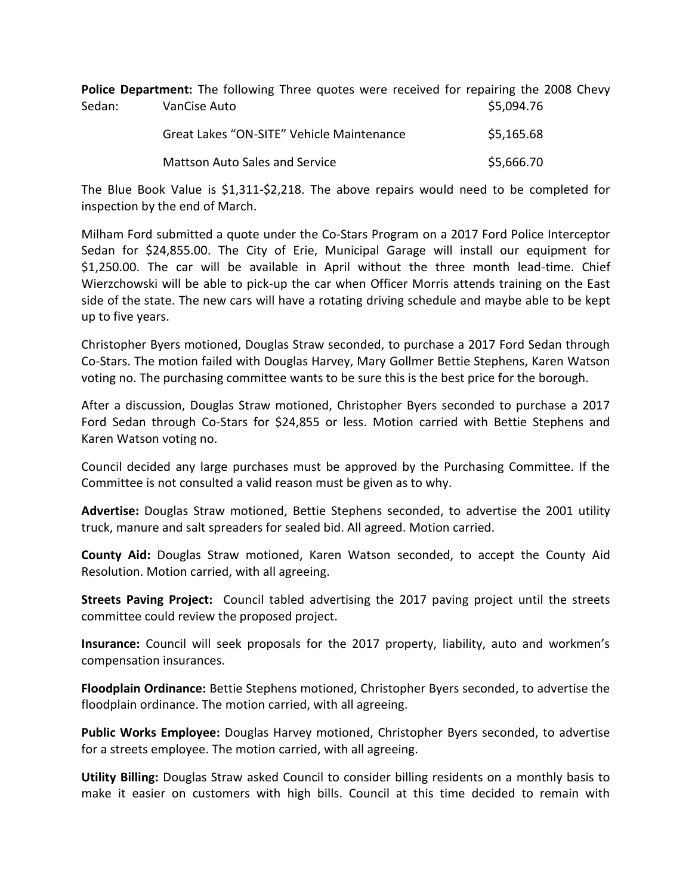**Police Department:** The following Three quotes were received for repairing the 2008 Chevy Sedan: VanCise Auto \$5,094.76

| Great Lakes "ON-SITE" Vehicle Maintenance | \$5,165.68 |
|-------------------------------------------|------------|
| Mattson Auto Sales and Service            | \$5,666.70 |

The Blue Book Value is \$1,311-\$2,218. The above repairs would need to be completed for inspection by the end of March.

Milham Ford submitted a quote under the Co-Stars Program on a 2017 Ford Police Interceptor Sedan for \$24,855.00. The City of Erie, Municipal Garage will install our equipment for \$1,250.00. The car will be available in April without the three month lead-time. Chief Wierzchowski will be able to pick-up the car when Officer Morris attends training on the East side of the state. The new cars will have a rotating driving schedule and maybe able to be kept up to five years.

Christopher Byers motioned, Douglas Straw seconded, to purchase a 2017 Ford Sedan through Co-Stars. The motion failed with Douglas Harvey, Mary Gollmer Bettie Stephens, Karen Watson voting no. The purchasing committee wants to be sure this is the best price for the borough.

After a discussion, Douglas Straw motioned, Christopher Byers seconded to purchase a 2017 Ford Sedan through Co-Stars for \$24,855 or less. Motion carried with Bettie Stephens and Karen Watson voting no.

Council decided any large purchases must be approved by the Purchasing Committee. If the Committee is not consulted a valid reason must be given as to why.

**Advertise:** Douglas Straw motioned, Bettie Stephens seconded, to advertise the 2001 utility truck, manure and salt spreaders for sealed bid. All agreed. Motion carried.

**County Aid:** Douglas Straw motioned, Karen Watson seconded, to accept the County Aid Resolution. Motion carried, with all agreeing.

**Streets Paving Project:** Council tabled advertising the 2017 paving project until the streets committee could review the proposed project.

**Insurance:** Council will seek proposals for the 2017 property, liability, auto and workmen's compensation insurances.

**Floodplain Ordinance:** Bettie Stephens motioned, Christopher Byers seconded, to advertise the floodplain ordinance. The motion carried, with all agreeing.

**Public Works Employee:** Douglas Harvey motioned, Christopher Byers seconded, to advertise for a streets employee. The motion carried, with all agreeing.

**Utility Billing:** Douglas Straw asked Council to consider billing residents on a monthly basis to make it easier on customers with high bills. Council at this time decided to remain with